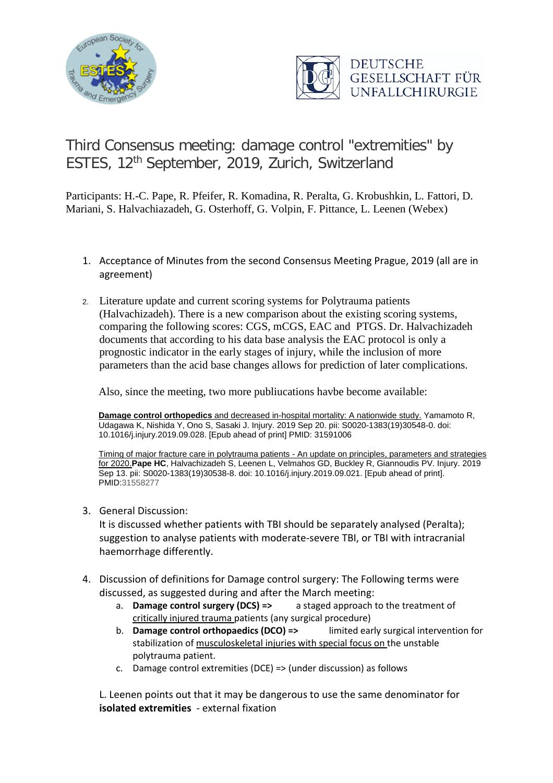



## Third Consensus meeting: damage control "extremities" by ESTES, 12<sup>th</sup> September, 2019, Zurich, Switzerland

Participants: H.-C. Pape, R. Pfeifer, R. Komadina, R. Peralta, G. Krobushkin, L. Fattori, D. Mariani, S. Halvachiazadeh, G. Osterhoff, G. Volpin, F. Pittance, L. Leenen (Webex)

- 1. Acceptance of Minutes from the second Consensus Meeting Prague, 2019 (all are in agreement)
- 2. Literature update and current scoring systems for Polytrauma patients (Halvachizadeh). There is a new comparison about the existing scoring systems, comparing the following scores: CGS, mCGS, EAC and PTGS. Dr. Halvachizadeh documents that according to his data base analysis the EAC protocol is only a prognostic indicator in the early stages of injury, while the inclusion of more parameters than the acid base changes allows for prediction of later complications.

Also, since the meeting, two more publiucations havbe become available:

**Damage control orthopedics** [and decreased in-hospital mortality: A nationwide study.](https://www.ncbi.nlm.nih.gov/pubmed/31591006) Yamamoto R, Udagawa K, Nishida Y, Ono S, Sasaki J. Injury. 2019 Sep 20. pii: S0020-1383(19)30548-0. doi: 10.1016/j.injury.2019.09.028. [Epub ahead of print] PMID: 31591006

[Timing of major fracture care in polytrauma patients -](https://www.ncbi.nlm.nih.gov/pubmed/31558277) An update on principles, parameters and strategies [for 2020.](https://www.ncbi.nlm.nih.gov/pubmed/31558277)**Pape HC**, Halvachizadeh S, Leenen L, Velmahos GD, Buckley R, Giannoudis PV. Injury. 2019 Sep 13. pii: S0020-1383(19)30538-8. doi: 10.1016/j.injury.2019.09.021. [Epub ahead of print]. PMID:31558277

3. General Discussion:

It is discussed whether patients with TBI should be separately analysed (Peralta); suggestion to analyse patients with moderate-severe TBI, or TBI with intracranial haemorrhage differently.

- 4. Discussion of definitions for Damage control surgery: The Following terms were discussed, as suggested during and after the March meeting:
	- a. **Damage control surgery (DCS) =>** a staged approach to the treatment of critically injured trauma patients (any surgical procedure)
	- b. **Damage control orthopaedics (DCO) =>** limited early surgical intervention for stabilization of musculoskeletal injuries with special focus on the unstable polytrauma patient.
	- c. Damage control extremities (DCE) => (under discussion) as follows

L. Leenen points out that it may be dangerous to use the same denominator for **isolated extremities** - external fixation